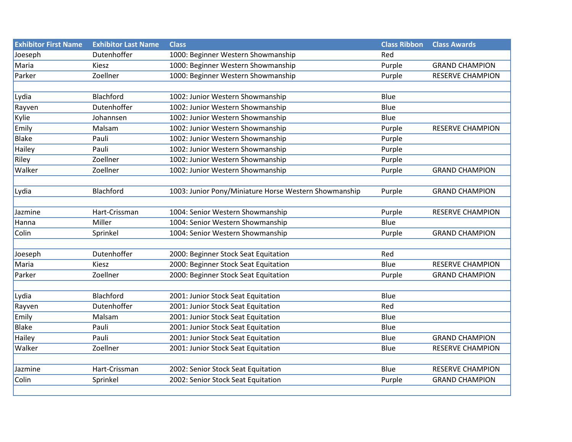| <b>Exhibitor First Name</b> | <b>Exhibitor Last Name</b> | <b>Class</b>                                          | <b>Class Ribbon</b> | <b>Class Awards</b>     |
|-----------------------------|----------------------------|-------------------------------------------------------|---------------------|-------------------------|
| Joeseph                     | Dutenhoffer                | 1000: Beginner Western Showmanship                    | Red                 |                         |
| Maria                       | Kiesz                      | 1000: Beginner Western Showmanship                    | Purple              | <b>GRAND CHAMPION</b>   |
| Parker                      | Zoellner                   | 1000: Beginner Western Showmanship                    | Purple              | <b>RESERVE CHAMPION</b> |
|                             |                            |                                                       |                     |                         |
| Lydia                       | Blachford                  | 1002: Junior Western Showmanship                      | Blue                |                         |
| Rayven                      | Dutenhoffer                | 1002: Junior Western Showmanship                      | Blue                |                         |
| Kylie                       | Johannsen                  | 1002: Junior Western Showmanship                      | Blue                |                         |
| Emily                       | Malsam                     | 1002: Junior Western Showmanship                      | Purple              | <b>RESERVE CHAMPION</b> |
| <b>Blake</b>                | Pauli                      | 1002: Junior Western Showmanship                      | Purple              |                         |
| Hailey                      | Pauli                      | 1002: Junior Western Showmanship                      | Purple              |                         |
| Riley                       | Zoellner                   | 1002: Junior Western Showmanship                      | Purple              |                         |
| Walker                      | Zoellner                   | 1002: Junior Western Showmanship                      | Purple              | <b>GRAND CHAMPION</b>   |
|                             |                            |                                                       |                     |                         |
| Lydia                       | Blachford                  | 1003: Junior Pony/Miniature Horse Western Showmanship | Purple              | <b>GRAND CHAMPION</b>   |
|                             |                            |                                                       |                     |                         |
| Jazmine                     | Hart-Crissman              | 1004: Senior Western Showmanship                      | Purple              | <b>RESERVE CHAMPION</b> |
| Hanna                       | Miller                     | 1004: Senior Western Showmanship                      | Blue                |                         |
| Colin                       | Sprinkel                   | 1004: Senior Western Showmanship                      | Purple              | <b>GRAND CHAMPION</b>   |
|                             |                            |                                                       |                     |                         |
| Joeseph                     | Dutenhoffer                | 2000: Beginner Stock Seat Equitation                  | Red                 |                         |
| Maria                       | Kiesz                      | 2000: Beginner Stock Seat Equitation                  | Blue                | <b>RESERVE CHAMPION</b> |
| Parker                      | Zoellner                   | 2000: Beginner Stock Seat Equitation                  | Purple              | <b>GRAND CHAMPION</b>   |
|                             |                            |                                                       |                     |                         |
| Lydia                       | <b>Blachford</b>           | 2001: Junior Stock Seat Equitation                    | Blue                |                         |
| Rayven                      | Dutenhoffer                | 2001: Junior Stock Seat Equitation                    | Red                 |                         |
| Emily                       | Malsam                     | 2001: Junior Stock Seat Equitation                    | Blue                |                         |
| Blake                       | Pauli                      | 2001: Junior Stock Seat Equitation                    | Blue                |                         |
| Hailey                      | Pauli                      | 2001: Junior Stock Seat Equitation                    | Blue                | <b>GRAND CHAMPION</b>   |
| Walker                      | Zoellner                   | 2001: Junior Stock Seat Equitation                    | Blue                | <b>RESERVE CHAMPION</b> |
|                             |                            |                                                       |                     |                         |
| Jazmine                     | Hart-Crissman              | 2002: Senior Stock Seat Equitation                    | Blue                | <b>RESERVE CHAMPION</b> |
| Colin                       | Sprinkel                   | 2002: Senior Stock Seat Equitation                    | Purple              | <b>GRAND CHAMPION</b>   |
|                             |                            |                                                       |                     |                         |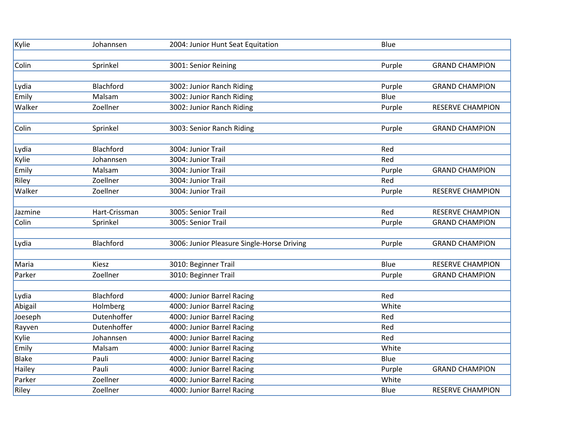| Kylie        | Johannsen     | 2004: Junior Hunt Seat Equitation          | Blue   |                         |
|--------------|---------------|--------------------------------------------|--------|-------------------------|
|              |               |                                            |        |                         |
| Colin        | Sprinkel      | 3001: Senior Reining                       | Purple | <b>GRAND CHAMPION</b>   |
|              |               |                                            |        |                         |
| Lydia        | Blachford     | 3002: Junior Ranch Riding                  | Purple | <b>GRAND CHAMPION</b>   |
| Emily        | Malsam        | 3002: Junior Ranch Riding                  | Blue   |                         |
| Walker       | Zoellner      | 3002: Junior Ranch Riding                  | Purple | <b>RESERVE CHAMPION</b> |
|              |               |                                            |        |                         |
| Colin        | Sprinkel      | 3003: Senior Ranch Riding                  | Purple | <b>GRAND CHAMPION</b>   |
|              |               |                                            |        |                         |
| Lydia        | Blachford     | 3004: Junior Trail                         | Red    |                         |
| Kylie        | Johannsen     | 3004: Junior Trail                         | Red    |                         |
| Emily        | Malsam        | 3004: Junior Trail                         | Purple | <b>GRAND CHAMPION</b>   |
| Riley        | Zoellner      | 3004: Junior Trail                         | Red    |                         |
| Walker       | Zoellner      | 3004: Junior Trail                         | Purple | RESERVE CHAMPION        |
|              |               |                                            |        |                         |
| Jazmine      | Hart-Crissman | 3005: Senior Trail                         | Red    | <b>RESERVE CHAMPION</b> |
| Colin        | Sprinkel      | 3005: Senior Trail                         | Purple | <b>GRAND CHAMPION</b>   |
|              |               |                                            |        |                         |
| Lydia        | Blachford     | 3006: Junior Pleasure Single-Horse Driving | Purple | <b>GRAND CHAMPION</b>   |
|              |               |                                            |        |                         |
| Maria        | Kiesz         | 3010: Beginner Trail                       | Blue   | <b>RESERVE CHAMPION</b> |
| Parker       | Zoellner      | 3010: Beginner Trail                       | Purple | <b>GRAND CHAMPION</b>   |
|              |               |                                            |        |                         |
| Lydia        | Blachford     | 4000: Junior Barrel Racing                 | Red    |                         |
| Abigail      | Holmberg      | 4000: Junior Barrel Racing                 | White  |                         |
| Joeseph      | Dutenhoffer   | 4000: Junior Barrel Racing                 | Red    |                         |
| Rayven       | Dutenhoffer   | 4000: Junior Barrel Racing                 | Red    |                         |
| Kylie        | Johannsen     | 4000: Junior Barrel Racing                 | Red    |                         |
| Emily        | Malsam        | 4000: Junior Barrel Racing                 | White  |                         |
| <b>Blake</b> | Pauli         | 4000: Junior Barrel Racing                 | Blue   |                         |
| Hailey       | Pauli         | 4000: Junior Barrel Racing                 | Purple | <b>GRAND CHAMPION</b>   |
| Parker       | Zoellner      | 4000: Junior Barrel Racing                 | White  |                         |
| Riley        | Zoellner      | 4000: Junior Barrel Racing                 | Blue   | <b>RESERVE CHAMPION</b> |